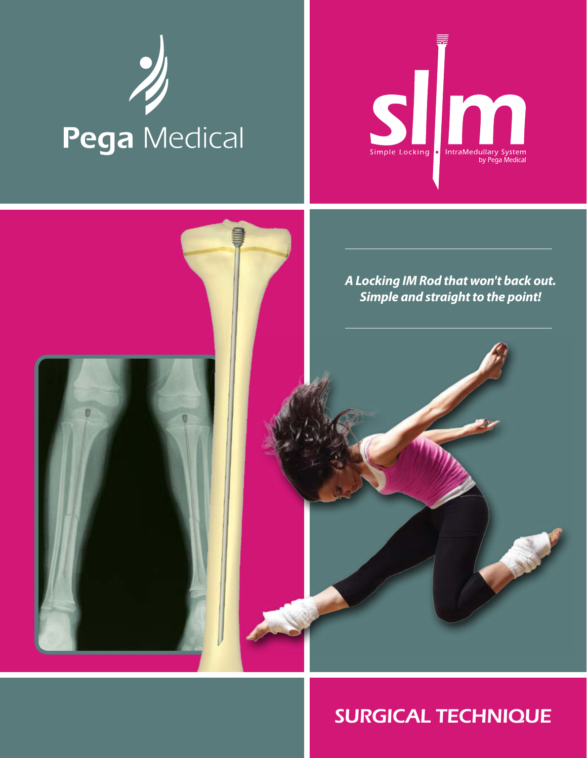# Pega Medical





# *SURGICAL TECHNIQUE*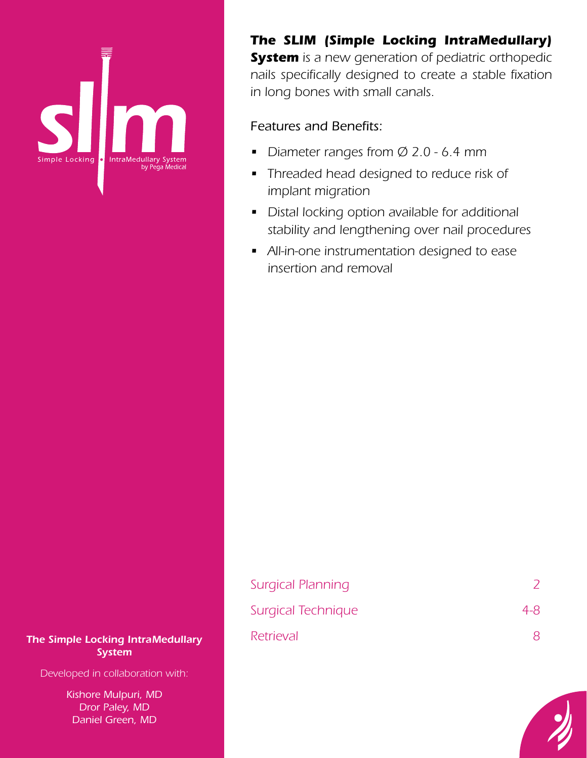

*The SLIM (Simple Locking IntraMedullary) System is a new generation of pediatric orthopedic nails specifically designed to create a stable fixation in long bones with small canals.*

# *Features and Benefits:*

- *• Diameter ranges from Ø 2.0 6.4 mm*
- *• Threaded head designed to reduce risk of implant migration*
- *• Distal locking option available for additional stability and lengthening over nail procedures*
- *• All-in-one instrumentation designed to ease insertion and removal*

| <b>The Simple Locking IntraMedullary</b> |  |  |  |  |
|------------------------------------------|--|--|--|--|
| <b>System</b>                            |  |  |  |  |

*Developed in collaboration with:*

*Kishore Mulpuri, MD Dror Paley, MD Daniel Green, MD*

# *Surgical Planning 2 Surgical Technique 4-8 The Simple Locking IntraMedullary Retrieval 8*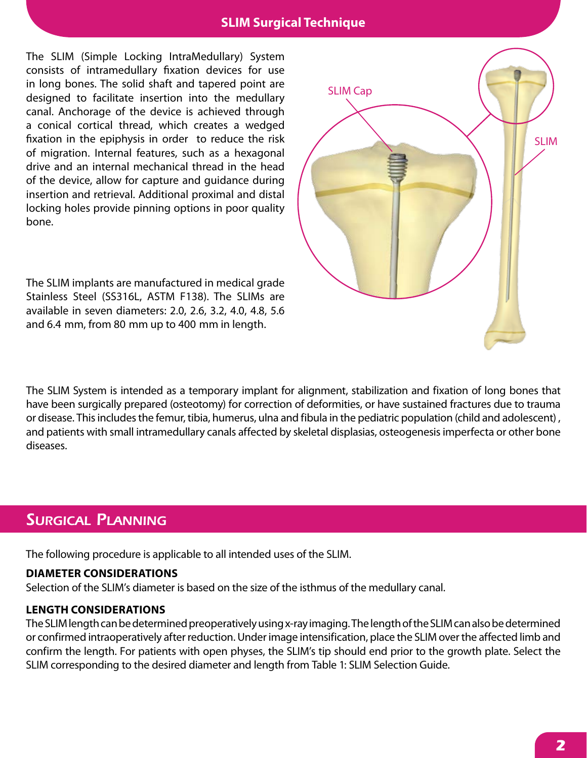# **SLIM Surgical Technique**

The SLIM (Simple Locking IntraMedullary) System consists of intramedullary fixation devices for use in long bones. The solid shaft and tapered point are designed to facilitate insertion into the medullary canal. Anchorage of the device is achieved through a conical cortical thread, which creates a wedged fixation in the epiphysis in order to reduce the risk of migration. Internal features, such as a hexagonal drive and an internal mechanical thread in the head of the device, allow for capture and guidance during insertion and retrieval. Additional proximal and distal locking holes provide pinning options in poor quality bone.

The SLIM implants are manufactured in medical grade Stainless Steel (SS316L, ASTM F138). The SLIMs are available in seven diameters: 2.0, 2.6, 3.2, 4.0, 4.8, 5.6 and 6.4 mm, from 80 mm up to 400 mm in length.



The SLIM System is intended as a temporary implant for alignment, stabilization and fixation of long bones that have been surgically prepared (osteotomy) for correction of deformities, or have sustained fractures due to trauma or disease. This includes the femur, tibia, humerus, ulna and fibula in the pediatric population (child and adolescent) , and patients with small intramedullary canals affected by skeletal displasias, osteogenesis imperfecta or other bone diseases.

# *Surgical Planning*

The following procedure is applicable to all intended uses of the SLIM.

### **DIAMETER CONSIDERATIONS**

Selection of the SLIM's diameter is based on the size of the isthmus of the medullary canal.

### **LENGTH CONSIDERATIONS**

The SLIM length can be determined preoperatively using x-ray imaging. The length of the SLIM can also be determined or confirmed intraoperatively after reduction. Under image intensification, place the SLIM over the affected limb and confirm the length. For patients with open physes, the SLIM's tip should end prior to the growth plate. Select the SLIM corresponding to the desired diameter and length from Table 1: SLIM Selection Guide.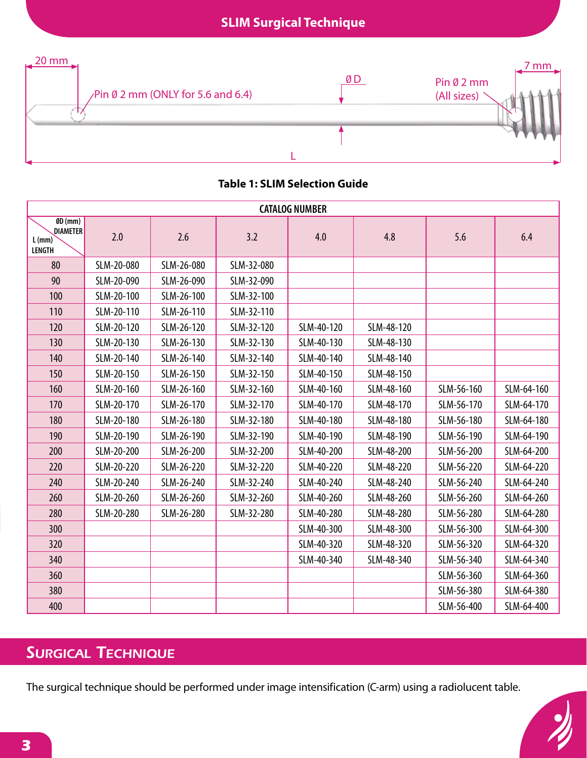

### **Table 1: SLIM Selection Guide**

|                                                                     | <b>CATALOG NUMBER</b> |            |            |            |            |            |            |
|---------------------------------------------------------------------|-----------------------|------------|------------|------------|------------|------------|------------|
| $\overline{\text{GD}(mm)}$<br>DIAMETER<br>$L$ (mm)<br><b>LENGTH</b> | 2.0                   | 2.6        | 3.2        | 4.0        | 4.8        | 5.6        | 6.4        |
| 80                                                                  | SLM-20-080            | SLM-26-080 | SLM-32-080 |            |            |            |            |
| 90                                                                  | SLM-20-090            | SLM-26-090 | SLM-32-090 |            |            |            |            |
| 100                                                                 | SLM-20-100            | SLM-26-100 | SLM-32-100 |            |            |            |            |
| 110                                                                 | SLM-20-110            | SLM-26-110 | SLM-32-110 |            |            |            |            |
| 120                                                                 | SLM-20-120            | SLM-26-120 | SLM-32-120 | SLM-40-120 | SLM-48-120 |            |            |
| 130                                                                 | SLM-20-130            | SLM-26-130 | SLM-32-130 | SLM-40-130 | SLM-48-130 |            |            |
| 140                                                                 | SLM-20-140            | SLM-26-140 | SLM-32-140 | SLM-40-140 | SLM-48-140 |            |            |
| 150                                                                 | SLM-20-150            | SLM-26-150 | SLM-32-150 | SLM-40-150 | SLM-48-150 |            |            |
| 160                                                                 | SLM-20-160            | SLM-26-160 | SLM-32-160 | SLM-40-160 | SLM-48-160 | SLM-56-160 | SLM-64-160 |
| 170                                                                 | SLM-20-170            | SLM-26-170 | SLM-32-170 | SLM-40-170 | SLM-48-170 | SLM-56-170 | SLM-64-170 |
| 180                                                                 | SLM-20-180            | SLM-26-180 | SLM-32-180 | SLM-40-180 | SLM-48-180 | SLM-56-180 | SLM-64-180 |
| 190                                                                 | SLM-20-190            | SLM-26-190 | SLM-32-190 | SLM-40-190 | SLM-48-190 | SLM-56-190 | SLM-64-190 |
| 200                                                                 | SLM-20-200            | SLM-26-200 | SLM-32-200 | SLM-40-200 | SLM-48-200 | SLM-56-200 | SLM-64-200 |
| 220                                                                 | SLM-20-220            | SLM-26-220 | SLM-32-220 | SLM-40-220 | SLM-48-220 | SLM-56-220 | SLM-64-220 |
| 240                                                                 | SLM-20-240            | SLM-26-240 | SLM-32-240 | SLM-40-240 | SLM-48-240 | SLM-56-240 | SLM-64-240 |
| 260                                                                 | SLM-20-260            | SLM-26-260 | SLM-32-260 | SLM-40-260 | SLM-48-260 | SLM-56-260 | SLM-64-260 |
| 280                                                                 | SLM-20-280            | SLM-26-280 | SLM-32-280 | SLM-40-280 | SLM-48-280 | SLM-56-280 | SLM-64-280 |
| 300                                                                 |                       |            |            | SLM-40-300 | SLM-48-300 | SLM-56-300 | SLM-64-300 |
| 320                                                                 |                       |            |            | SLM-40-320 | SLM-48-320 | SLM-56-320 | SLM-64-320 |
| 340                                                                 |                       |            |            | SLM-40-340 | SLM-48-340 | SLM-56-340 | SLM-64-340 |
| 360                                                                 |                       |            |            |            |            | SLM-56-360 | SLM-64-360 |
| 380                                                                 |                       |            |            |            |            | SLM-56-380 | SLM-64-380 |
| 400                                                                 |                       |            |            |            |            | SLM-56-400 | SLM-64-400 |

# *Surgical Technique*

The surgical technique should be performed under image intensification (C-arm) using a radiolucent table.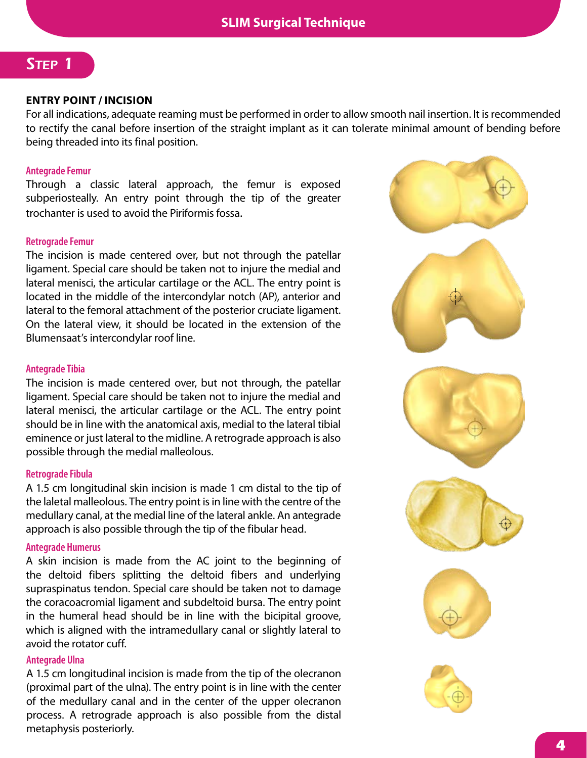# *Step 1*

### **ENTRY POINT / INCISION**

For all indications, adequate reaming must be performed in order to allow smooth nail insertion. It is recommended to rectify the canal before insertion of the straight implant as it can tolerate minimal amount of bending before being threaded into its final position.

### **Antegrade Femur**

Through a classic lateral approach, the femur is exposed subperiosteally. An entry point through the tip of the greater trochanter is used to avoid the Piriformis fossa.

### **Retrograde Femur**

The incision is made centered over, but not through the patellar ligament. Special care should be taken not to injure the medial and lateral menisci, the articular cartilage or the ACL. The entry point is located in the middle of the intercondylar notch (AP), anterior and lateral to the femoral attachment of the posterior cruciate ligament. On the lateral view, it should be located in the extension of the Blumensaat's intercondylar roof line.

### **Antegrade Tibia**

The incision is made centered over, but not through, the patellar ligament. Special care should be taken not to injure the medial and lateral menisci, the articular cartilage or the ACL. The entry point should be in line with the anatomical axis, medial to the lateral tibial eminence or just lateral to the midline. A retrograde approach is also possible through the medial malleolous.

### **Retrograde Fibula**

A 1.5 cm longitudinal skin incision is made 1 cm distal to the tip of the laletal malleolous. The entry point is in line with the centre of the medullary canal, at the medial line of the lateral ankle. An antegrade approach is also possible through the tip of the fibular head.

### **Antegrade Humerus**

A skin incision is made from the AC joint to the beginning of the deltoid fibers splitting the deltoid fibers and underlying supraspinatus tendon. Special care should be taken not to damage the coracoacromial ligament and subdeltoid bursa. The entry point in the humeral head should be in line with the bicipital groove, which is aligned with the intramedullary canal or slightly lateral to avoid the rotator cuff.

### **Antegrade Ulna**

A 1.5 cm longitudinal incision is made from the tip of the olecranon (proximal part of the ulna). The entry point is in line with the center of the medullary canal and in the center of the upper olecranon process. A retrograde approach is also possible from the distal metaphysis posteriorly.

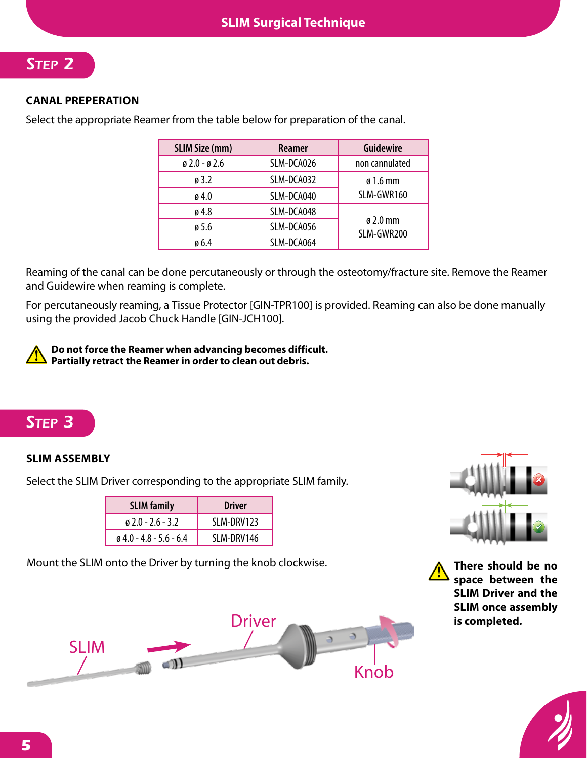# *Step 2*

# **CANAL PREPERATION**

Select the appropriate Reamer from the table below for preparation of the canal.

| <b>SLIM Size (mm)</b>             | Reamer     | <b>Guidewire</b>                   |
|-----------------------------------|------------|------------------------------------|
| $\emptyset$ 2.0 - $\emptyset$ 2.6 | SLM-DCA026 | non cannulated                     |
| $\emptyset$ 3.2                   | SLM-DCA032 | $\varnothing$ 1.6 mm               |
| $\alpha$ 4.0                      | SLM-DCA040 | SLM-GWR160                         |
| ø 4.8                             | SLM-DCA048 |                                    |
| ø 5.6                             | SLM-DCA056 | $\varnothing$ 2.0 mm<br>SLM-GWR200 |
| $\emptyset$ 6.4                   | SLM-DCA064 |                                    |

Reaming of the canal can be done percutaneously or through the osteotomy/fracture site. Remove the Reamer and Guidewire when reaming is complete.

For percutaneously reaming, a Tissue Protector [GIN-TPR100] is provided. Reaming can also be done manually using the provided Jacob Chuck Handle [GIN-JCH100].

**Do not force the Reamer when advancing becomes difficult. Partially retract the Reamer in order to clean out debris.**

# *Step 3*

# **SLIM ASSEMBLY**

Select the SLIM Driver corresponding to the appropriate SLIM family.

| <b>SLIM family</b>                | <b>Driver</b> |  |
|-----------------------------------|---------------|--|
| $\alpha$ 2.0 - 2.6 - 3.2          | SLM-DRV123    |  |
| $\emptyset$ 4.0 - 4.8 - 5.6 - 6.4 | SLM-DRV146    |  |

Mount the SLIM onto the Driver by turning the knob clockwise.



**There should be no space between the SLIM Driver and the SLIM once assembly is completed.**



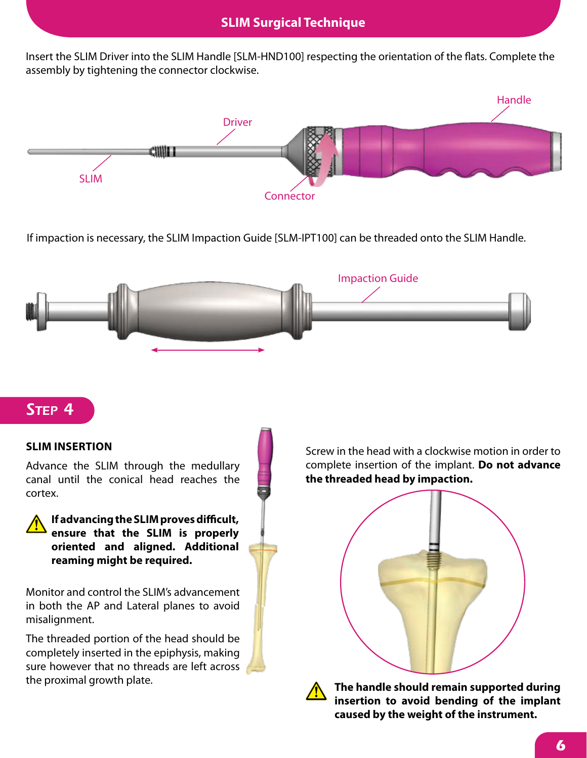Insert the SLIM Driver into the SLIM Handle [SLM-HND100] respecting the orientation of the flats. Complete the assembly by tightening the connector clockwise.



If impaction is necessary, the SLIM Impaction Guide [SLM-IPT100] can be threaded onto the SLIM Handle.



# *Step 4*

### **SLIM INSERTION**

Advance the SLIM through the medullary canal until the conical head reaches the cortex.

**If advancing the SLIM proves difficult, ensure that the SLIM is properly oriented and aligned. Additional reaming might be required.**

Monitor and control the SLIM's advancement in both the AP and Lateral planes to avoid misalignment.

The threaded portion of the head should be completely inserted in the epiphysis, making sure however that no threads are left across the proximal growth plate.

Screw in the head with a clockwise motion in order to complete insertion of the implant. **Do not advance the threaded head by impaction.**





**The handle should remain supported during insertion to avoid bending of the implant caused by the weight of the instrument.**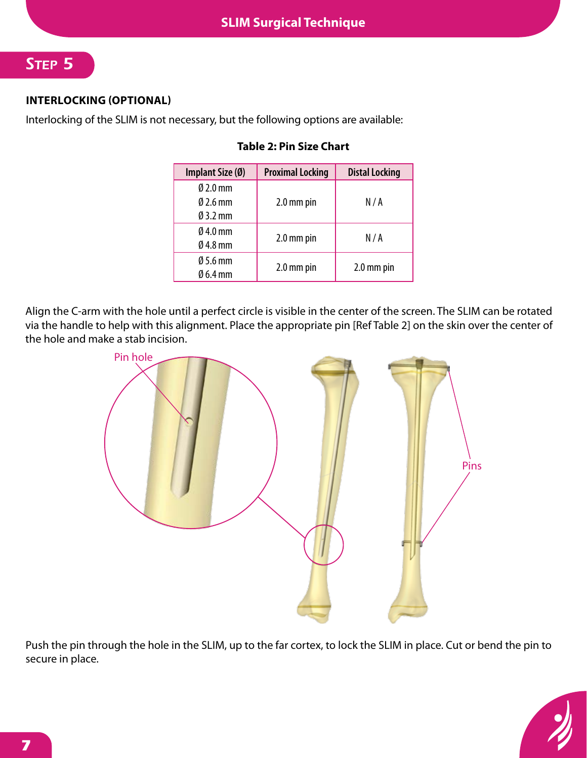# *Step 5*

# **INTERLOCKING (OPTIONAL)**

Interlocking of the SLIM is not necessary, but the following options are available:

| Implant Size (Ø)                                                   | <b>Proximal Locking</b> | <b>Distal Locking</b> |
|--------------------------------------------------------------------|-------------------------|-----------------------|
| $\emptyset$ 2.0 mm<br>$\varnothing$ 2.6 mm<br>$\varnothing$ 3.2 mm | 2.0 mm pin              | N/A                   |
| $\varnothing$ 4.0 mm<br>$Ø$ 4.8 mm                                 | 2.0 mm pin              | N/A                   |
| $\varnothing$ 5.6 mm<br>$\emptyset$ 6.4 mm                         | 2.0 mm pin              | 2.0 mm pin            |

### **Table 2: Pin Size Chart**

Align the C-arm with the hole until a perfect circle is visible in the center of the screen. The SLIM can be rotated via the handle to help with this alignment. Place the appropriate pin [Ref Table 2] on the skin over the center of the hole and make a stab incision.



Push the pin through the hole in the SLIM, up to the far cortex, to lock the SLIM in place. Cut or bend the pin to secure in place.

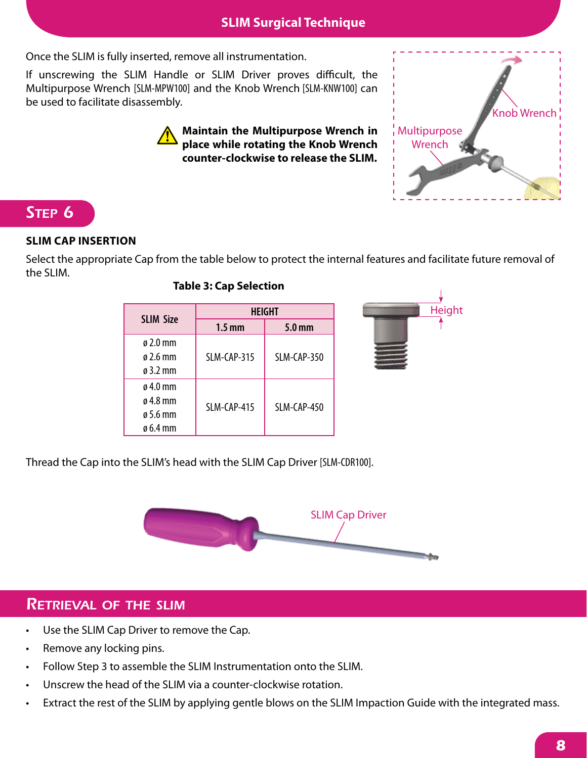Once the SLIM is fully inserted, remove all instrumentation.

If unscrewing the SLIM Handle or SLIM Driver proves difficult, the Multipurpose Wrench [SLM-MPW100] and the Knob Wrench [SLM-KNW100] can be used to facilitate disassembly.

> **Maintain the Multipurpose Wrench in place while rotating the Knob Wrench counter-clockwise to release the SLIM.**

# *Step 6*

# **SLIM CAP INSERTION**

Select the appropriate Cap from the table below to protect the internal features and facilitate future removal of the SLIM.

# **Table 3: Cap Selection**

Thread the Cap into the SLIM's head with the SLIM Cap Driver [SLM-CDR100].

# *Retrieval of the slim*

- Use the SLIM Cap Driver to remove the Cap.
- Remove any locking pins.
- Follow Step 3 to assemble the SLIM Instrumentation onto the SLIM.
- Unscrew the head of the SLIM via a counter-clockwise rotation.
- Extract the rest of the SLIM by applying gentle blows on the SLIM Impaction Guide with the integrated mass.

SLIM Cap Driver